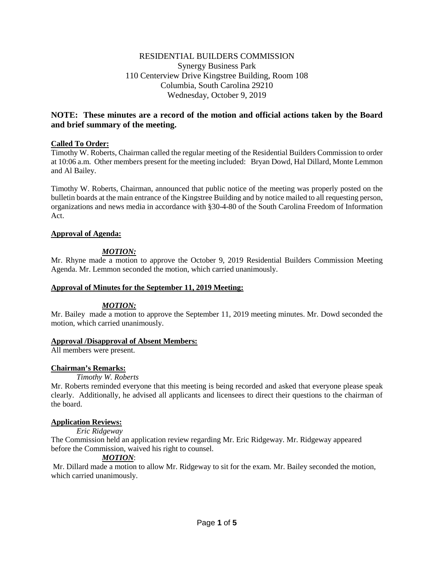## RESIDENTIAL BUILDERS COMMISSION Synergy Business Park 110 Centerview Drive Kingstree Building, Room 108 Columbia, South Carolina 29210 Wednesday, October 9, 2019

# **NOTE: These minutes are a record of the motion and official actions taken by the Board and brief summary of the meeting.**

### **Called To Order:**

Timothy W. Roberts, Chairman called the regular meeting of the Residential Builders Commission to order at 10:06 a.m. Other members present for the meeting included: Bryan Dowd, Hal Dillard, Monte Lemmon and Al Bailey.

Timothy W. Roberts, Chairman, announced that public notice of the meeting was properly posted on the bulletin boards at the main entrance of the Kingstree Building and by notice mailed to all requesting person, organizations and news media in accordance with §30-4-80 of the South Carolina Freedom of Information Act.

### **Approval of Agenda:**

## *MOTION:*

Mr. Rhyne made a motion to approve the October 9, 2019 Residential Builders Commission Meeting Agenda. Mr. Lemmon seconded the motion, which carried unanimously.

### **Approval of Minutes for the September 11, 2019 Meeting:**

### *MOTION:*

Mr. Bailey made a motion to approve the September 11, 2019 meeting minutes. Mr. Dowd seconded the motion, which carried unanimously.

### **Approval /Disapproval of Absent Members:**

All members were present.

## **Chairman's Remarks:**

### *Timothy W. Roberts*

Mr. Roberts reminded everyone that this meeting is being recorded and asked that everyone please speak clearly. Additionally, he advised all applicants and licensees to direct their questions to the chairman of the board.

## **Application Reviews:**

## *Eric Ridgeway*

The Commission held an application review regarding Mr. Eric Ridgeway. Mr. Ridgeway appeared before the Commission, waived his right to counsel.

## *MOTION*:

Mr. Dillard made a motion to allow Mr. Ridgeway to sit for the exam. Mr. Bailey seconded the motion, which carried unanimously.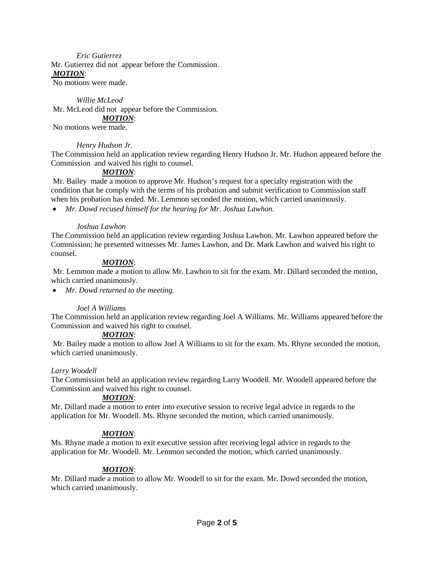#### *Eric Gutierrez*

Mr. Gutierrez did not appear before the Commission. *MOTION*:

No motions were made.

*Willie McLeod* Mr. McLeod did not appear before the Commission. *MOTION*:

No motions were made.

#### *Henry Hudson Jr.*

The Commission held an application review regarding Henry Hudson Jr. Mr. Hudson appeared before the Commission and waived his right to counsel.

### *MOTION*:

Mr. Bailey made a motion to approve Mr. Hudson's request for a specialty registration with the condition that he comply with the terms of his probation and submit verification to Commission staff when his probation has ended. Mr. Lemmon seconded the motion, which carried unanimously.

• *Mr. Dowd recused himself for the hearing for Mr. Joshua Lawhon.* 

#### *Joshua Lawhon*

The Commission held an application review regarding Joshua Lawhon. Mr. Lawhon appeared before the Commission; he presented witnesses Mr. James Lawhon, and Dr. Mark Lawhon and waived his right to counsel.

### *MOTION*:

Mr. Lemmon made a motion to allow Mr. Lawhon to sit for the exam. Mr. Dillard seconded the motion, which carried unanimously.

• *Mr. Dowd returned to the meeting.* 

### *Joel A Williams*

The Commission held an application review regarding Joel A Williams. Mr. Williams appeared before the Commission and waived his right to counsel.

#### *MOTION*:

Mr. Bailey made a motion to allow Joel A Williams to sit for the exam. Ms. Rhyne seconded the motion, which carried unanimously.

#### *Larry Woodell*

The Commission held an application review regarding Larry Woodell. Mr. Woodell appeared before the Commission and waived his right to counsel.

### *MOTION*:

Mr. Dillard made a motion to enter into executive session to receive legal advice in regards to the application for Mr. Woodell. Ms. Rhyne seconded the motion, which carried unanimously.

### *MOTION*:

Ms. Rhyne made a motion to exit executive session after receiving legal advice in regards to the application for Mr. Woodell. Mr. Lemmon seconded the motion, which carried unanimously.

### *MOTION*:

Mr. Dillard made a motion to allow Mr. Woodell to sit for the exam. Mr. Dowd seconded the motion, which carried unanimously.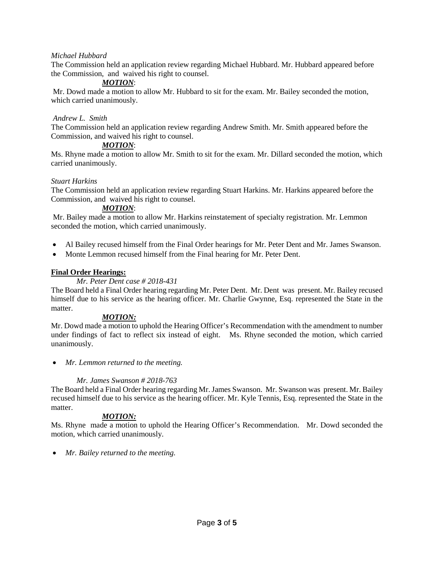### *Michael Hubbard*

The Commission held an application review regarding Michael Hubbard. Mr. Hubbard appeared before the Commission, and waived his right to counsel.

## *MOTION*:

Mr. Dowd made a motion to allow Mr. Hubbard to sit for the exam. Mr. Bailey seconded the motion, which carried unanimously.

### *Andrew L. Smith*

The Commission held an application review regarding Andrew Smith. Mr. Smith appeared before the Commission, and waived his right to counsel.

### *MOTION*:

Ms. Rhyne made a motion to allow Mr. Smith to sit for the exam. Mr. Dillard seconded the motion, which carried unanimously.

### *Stuart Harkins*

The Commission held an application review regarding Stuart Harkins. Mr. Harkins appeared before the Commission, and waived his right to counsel.

#### *MOTION*:

Mr. Bailey made a motion to allow Mr. Harkins reinstatement of specialty registration. Mr. Lemmon seconded the motion, which carried unanimously.

- Al Bailey recused himself from the Final Order hearings for Mr. Peter Dent and Mr. James Swanson.
- Monte Lemmon recused himself from the Final hearing for Mr. Peter Dent.

### **Final Order Hearings:**

### *Mr. Peter Dent case # 2018-431*

The Board held a Final Order hearing regarding Mr. Peter Dent. Mr. Dent was present. Mr. Bailey recused himself due to his service as the hearing officer. Mr. Charlie Gwynne, Esq. represented the State in the matter.

### *MOTION:*

Mr. Dowd made a motion to uphold the Hearing Officer's Recommendation with the amendment to number under findings of fact to reflect six instead of eight. Ms. Rhyne seconded the motion, which carried unanimously.

• *Mr. Lemmon returned to the meeting.* 

### *Mr. James Swanson # 2018-763*

The Board held a Final Order hearing regarding Mr. James Swanson. Mr. Swanson was present. Mr. Bailey recused himself due to his service as the hearing officer. Mr. Kyle Tennis, Esq. represented the State in the matter.

### *MOTION:*

Ms. Rhyne made a motion to uphold the Hearing Officer's Recommendation. Mr. Dowd seconded the motion, which carried unanimously.

• *Mr. Bailey returned to the meeting.*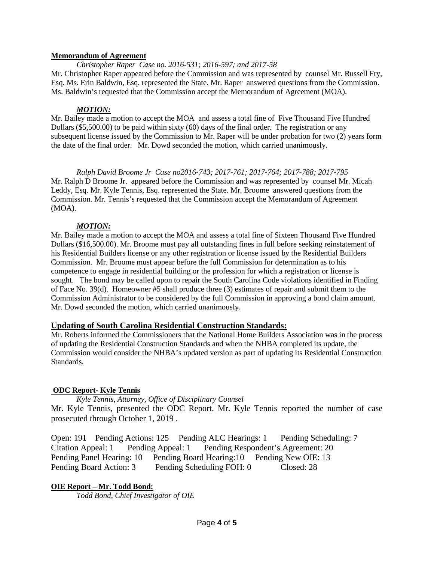### **Memorandum of Agreement**

*Christopher Raper Case no. 2016-531; 2016-597; and 2017-58* Mr. Christopher Raper appeared before the Commission and was represented by counsel Mr. Russell Fry, Esq. Ms. Erin Baldwin, Esq. represented the State. Mr. Raper answered questions from the Commission. Ms. Baldwin's requested that the Commission accept the Memorandum of Agreement (MOA).

### *MOTION:*

Mr. Bailey made a motion to accept the MOA and assess a total fine of Five Thousand Five Hundred Dollars (\$5,500.00) to be paid within sixty (60) days of the final order. The registration or any subsequent license issued by the Commission to Mr. Raper will be under probation for two (2) years form the date of the final order. Mr. Dowd seconded the motion, which carried unanimously.

*Ralph David Broome Jr Case no2016-743; 2017-761; 2017-764; 2017-788; 2017-795*  Mr. Ralph D Broome Jr. appeared before the Commission and was represented by counsel Mr. Micah Leddy, Esq. Mr. Kyle Tennis, Esq. represented the State. Mr. Broome answered questions from the Commission. Mr. Tennis's requested that the Commission accept the Memorandum of Agreement (MOA).

## *MOTION:*

Mr. Bailey made a motion to accept the MOA and assess a total fine of Sixteen Thousand Five Hundred Dollars (\$16,500.00). Mr. Broome must pay all outstanding fines in full before seeking reinstatement of his Residential Builders license or any other registration or license issued by the Residential Builders Commission. Mr. Broome must appear before the full Commission for determination as to his competence to engage in residential building or the profession for which a registration or license is sought. The bond may be called upon to repair the South Carolina Code violations identified in Finding of Face No. 39(d). Homeowner #5 shall produce three (3) estimates of repair and submit them to the Commission Administrator to be considered by the full Commission in approving a bond claim amount. Mr. Dowd seconded the motion, which carried unanimously.

## **Updating of South Carolina Residential Construction Standards:**

Mr. Roberts informed the Commissioners that the National Home Builders Association was in the process of updating the Residential Construction Standards and when the NHBA completed its update, the Commission would consider the NHBA's updated version as part of updating its Residential Construction Standards.

## **ODC Report- Kyle Tennis**

*Kyle Tennis, Attorney, Office of Disciplinary Counsel* Mr. Kyle Tennis, presented the ODC Report. Mr. Kyle Tennis reported the number of case prosecuted through October 1, 2019 .

Open: 191 Pending Actions: 125 Pending ALC Hearings: 1 Pending Scheduling: 7 Citation Appeal: 1 Pending Appeal: 1 Pending Respondent's Agreement: 20 Pending Panel Hearing: 10 Pending Board Hearing: 10 Pending New OIE: 13 Pending Board Action: 3 Pending Scheduling FOH: 0 Closed: 28

## **OIE Report – Mr. Todd Bond:**

*Todd Bond, Chief Investigator of OIE*